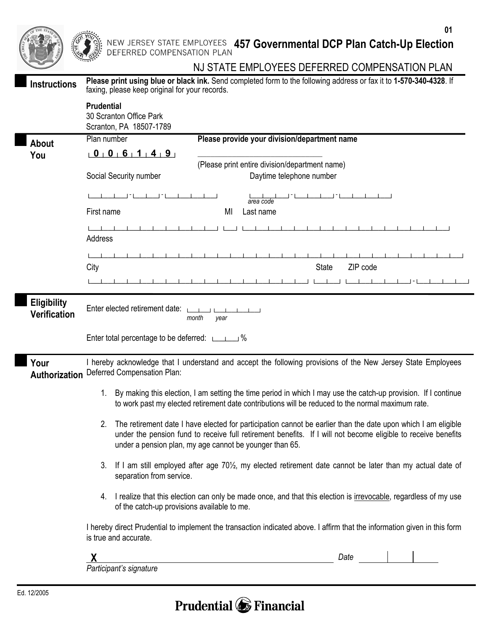|                                           | 01<br>NEW JERSEY STATE EMPLOYEES 457 Governmental DCP Plan Catch-Up Election                                                                                                                                                                                                                    |  |  |  |  |  |
|-------------------------------------------|-------------------------------------------------------------------------------------------------------------------------------------------------------------------------------------------------------------------------------------------------------------------------------------------------|--|--|--|--|--|
|                                           | DEFERRED COMPENSATION PLAN<br>NJ STATE EMPLOYEES DEFERRED COMPENSATION PLAN                                                                                                                                                                                                                     |  |  |  |  |  |
| <b>Instructions</b>                       | Please print using blue or black ink. Send completed form to the following address or fax it to 1-570-340-4328. If<br>faxing, please keep original for your records.                                                                                                                            |  |  |  |  |  |
|                                           | <b>Prudential</b><br>30 Scranton Office Park<br>Scranton, PA 18507-1789                                                                                                                                                                                                                         |  |  |  |  |  |
| About                                     | Plan number<br>Please provide your division/department name                                                                                                                                                                                                                                     |  |  |  |  |  |
| You                                       | $0$ $0$ $6$ $1$ $4$ $9$<br>(Please print entire division/department name)                                                                                                                                                                                                                       |  |  |  |  |  |
|                                           | Daytime telephone number<br>Social Security number                                                                                                                                                                                                                                              |  |  |  |  |  |
|                                           |                                                                                                                                                                                                                                                                                                 |  |  |  |  |  |
|                                           | area code                                                                                                                                                                                                                                                                                       |  |  |  |  |  |
|                                           | Last name<br>First name<br>MI                                                                                                                                                                                                                                                                   |  |  |  |  |  |
|                                           | Address                                                                                                                                                                                                                                                                                         |  |  |  |  |  |
|                                           |                                                                                                                                                                                                                                                                                                 |  |  |  |  |  |
|                                           | City<br><b>State</b><br>ZIP code                                                                                                                                                                                                                                                                |  |  |  |  |  |
|                                           |                                                                                                                                                                                                                                                                                                 |  |  |  |  |  |
| <b>Eligibility</b><br><b>Verification</b> | month<br>year                                                                                                                                                                                                                                                                                   |  |  |  |  |  |
|                                           | Enter total percentage to be deferred: [1, 1, 20] %                                                                                                                                                                                                                                             |  |  |  |  |  |
| Your<br>Authorization                     | I hereby acknowledge that I understand and accept the following provisions of the New Jersey State Employees<br>Deferred Compensation Plan:                                                                                                                                                     |  |  |  |  |  |
|                                           | 1. By making this election, I am setting the time period in which I may use the catch-up provision. If I continue<br>to work past my elected retirement date contributions will be reduced to the normal maximum rate.                                                                          |  |  |  |  |  |
|                                           | The retirement date I have elected for participation cannot be earlier than the date upon which I am eligible<br>2.<br>under the pension fund to receive full retirement benefits. If I will not become eligible to receive benefits<br>under a pension plan, my age cannot be younger than 65. |  |  |  |  |  |
|                                           | If I am still employed after age 70 <sup>1</sup> / <sub>2</sub> , my elected retirement date cannot be later than my actual date of<br>3.<br>separation from service.                                                                                                                           |  |  |  |  |  |
|                                           | 4. I realize that this election can only be made once, and that this election is irrevocable, regardless of my use<br>of the catch-up provisions available to me.                                                                                                                               |  |  |  |  |  |
|                                           | I hereby direct Prudential to implement the transaction indicated above. I affirm that the information given in this form<br>is true and accurate.                                                                                                                                              |  |  |  |  |  |
|                                           | Date<br><u> 1980 - Johann Barbara, martxa alemaniar a</u>                                                                                                                                                                                                                                       |  |  |  |  |  |
|                                           | Participant's signature                                                                                                                                                                                                                                                                         |  |  |  |  |  |

## **Prudential C** Financial

l

I

I